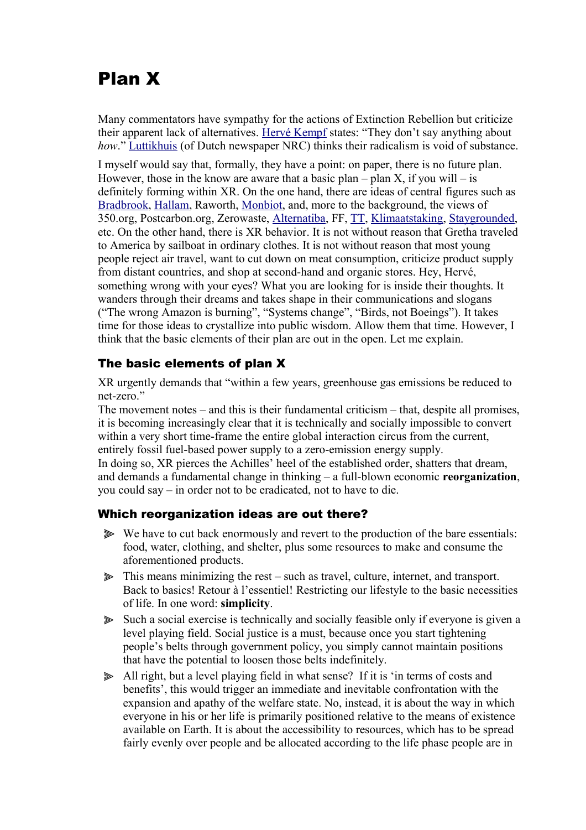# Plan X

Many commentators have sympathy for the actions of Extinction Rebellion but criticize their apparent lack of alternatives. [Hervé Kempf](https://reporterre.net/L-etrange-victoire-d-Extinction-Rebellion) states: "They don't say anything about *how*." [Luttikhuis](https://www.nrc.nl/nieuws/2019/07/26/klimaatcrisis-grote-woorden-kleine-daden-a3968337) (of Dutch newspaper NRC) thinks their radicalism is void of substance.

I myself would say that, formally, they have a point: on paper, there is no future plan. However, those in the know are aware that a basic plan – plan X, if you will – is definitely forming within XR. On the one hand, there are ideas of central figures such as  [Bradbrook,](https://www.youtube.com/watch?v=-USY8snInuQ) [Hallam,](http://www.rogerhallam.com/) Raworth, [Monbiot,](https://landforthemany.uk/) and, more to the background, the views of 350.org, Postcarbon.org, Zerowaste, [Alternatiba,](https://alternatiba.eu/alternatives-territoriales/) FF, [TT,](https://transitionnetwork.org/stories/scaling-transition-peterborough/) [Klimaatstaking,](https://klimaatstaking.nl/2019/08/29/waarom-het-tijd-is-voor-een-nederlandse-green-new-deal/) [Staygrounded,](https://stay-grounded.org/position-paper/) etc. On the other hand, there is XR behavior. It is not without reason that Gretha traveled to America by sailboat in ordinary clothes. It is not without reason that most young people reject air travel, want to cut down on meat consumption, criticize product supply from distant countries, and shop at second-hand and organic stores. Hey, Hervé, something wrong with your eyes? What you are looking for is inside their thoughts. It wanders through their dreams and takes shape in their communications and slogans ("The wrong Amazon is burning", "Systems change", "Birds, not Boeings"). It takes time for those ideas to crystallize into public wisdom. Allow them that time. However, I think that the basic elements of their plan are out in the open. Let me explain.

## The basic elements of plan X

XR urgently demands that "within a few years, greenhouse gas emissions be reduced to net-zero."

The movement notes – and this is their fundamental criticism – that, despite all promises, it is becoming increasingly clear that it is technically and socially impossible to convert within a very short time-frame the entire global interaction circus from the current, entirely fossil fuel-based power supply to a zero-emission energy supply. In doing so, XR pierces the Achilles' heel of the established order, shatters that dream, and demands a fundamental change in thinking – a full-blown economic **reorganization**, you could say – in order not to be eradicated, not to have to die.

## Which reorganization ideas are out there?

- ⫸ We have to cut back enormously and revert to the production of the bare essentials: food, water, clothing, and shelter, plus some resources to make and consume the aforementioned products.
- ⫸ This means minimizing the rest such as travel, culture, internet, and transport. Back to basics! Retour à l'essentiel! Restricting our lifestyle to the basic necessities of life. In one word: **simplicity**.
- ⫸ Such a social exercise is technically and socially feasible only if everyone is given a level playing field. Social justice is a must, because once you start tightening people's belts through government policy, you simply cannot maintain positions that have the potential to loosen those belts indefinitely.
- ⫸ All right, but a level playing field in what sense? If it is 'in terms of costs and benefits', this would trigger an immediate and inevitable confrontation with the expansion and apathy of the welfare state. No, instead, it is about the way in which everyone in his or her life is primarily positioned relative to the means of existence available on Earth. It is about the accessibility to resources, which has to be spread fairly evenly over people and be allocated according to the life phase people are in